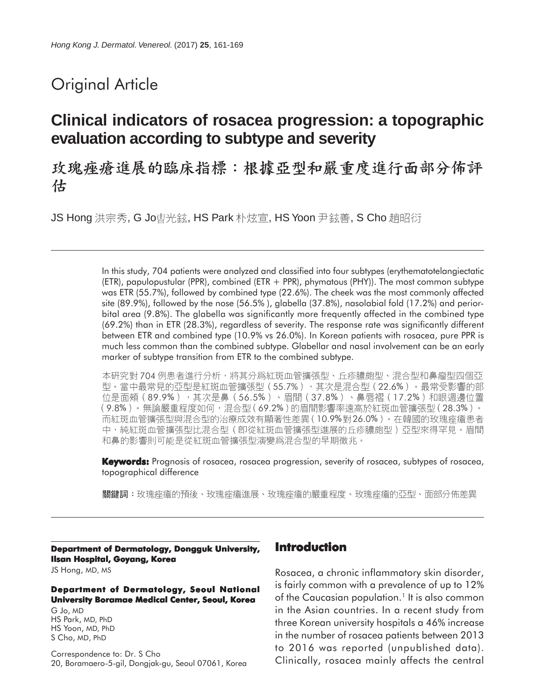# Original Article

# **Clinical indicators of rosacea progression: a topographic evaluation according to subtype and severity**

玫瑰痤瘡進展的臨床指標:根據亞型和嚴重度進行面部分佈評 估

JS Hong 洪宗秀, G Jo曺光鉉, HS Park 朴炫宣, HS Yoon 尹鉉善, S Cho 趙昭衍

In this study, 704 patients were analyzed and classified into four subtypes (erythematotelangiectatic (ETR), papulopustular (PPR), combined (ETR + PPR), phymatous (PHY)). The most common subtype was ETR (55.7%), followed by combined type (22.6%). The cheek was the most commonly affected site (89.9%), followed by the nose (56.5% ), glabella (37.8%), nasolabial fold (17.2%) and periorbital area (9.8%). The glabella was significantly more frequently affected in the combined type (69.2%) than in ETR (28.3%), regardless of severity. The response rate was significantly different between ETR and combined type (10.9% vs 26.0%). In Korean patients with rosacea, pure PPR is much less common than the combined subtype. Glabellar and nasal involvement can be an early marker of subtype transition from ETR to the combined subtype.

本研究對 704 例患者進行分析,將其分爲紅斑血管擴張型、丘疹膿皰型、混合型和鼻瘤型四個亞 型。當中最常見的亞型是紅斑血管擴張型(55.7%),其次是混合型(22.6%)。最常受影響的部 位是面頰(89.9%),其次是鼻(56.5%)、眉間(37.8%)、鼻唇褶(17.2%)和眼週邊位置 (9.8%)。無論嚴重程度如何,混合型(69.2%)的眉間影響率遠高於紅斑血管擴張型(28.3%)。 而紅斑血管擴張型與混合型的治療成效有顯著性差異(10.9%對26.0%)。在韓國的玫瑰痤瘡患者 中,純紅斑血管擴張型比混合型(卽從紅斑血管擴張型進展的丘疹膿皰型)亞型來得罕見。眉間 和鼻的影響則可能是從紅斑血管擴張型演變爲混合型的早期徵兆。

**Keywords:** Prognosis of rosacea, rosacea progression, severity of rosacea, subtypes of rosacea, topographical difference

關鍵詞:玫瑰痤瘡的預後、玫瑰痤瘡進展、玫瑰痤瘡的嚴重程度、玫瑰痤瘡的亞型、面部分佈差異

**Department of Dermatology, Dongguk University, Ilsan Hospital, Goyang, Korea**

JS Hong, MD, MS

#### **Department of Dermatology, Seoul National University Boramae Medical Center, Seoul, Korea**

G Jo, MD HS Park, MD, PhD HS Yoon, MD, PhD S Cho, MD, PhD

Correspondence to: Dr. S Cho 20, Boramaero-5-gil, Dongjak-gu, Seoul 07061, Korea

# **Introduction**

Rosacea, a chronic inflammatory skin disorder, is fairly common with a prevalence of up to 12% of the Caucasian population.<sup>1</sup> It is also common in the Asian countries. In a recent study from three Korean university hospitals a 46% increase in the number of rosacea patients between 2013 to 2016 was reported (unpublished data). Clinically, rosacea mainly affects the central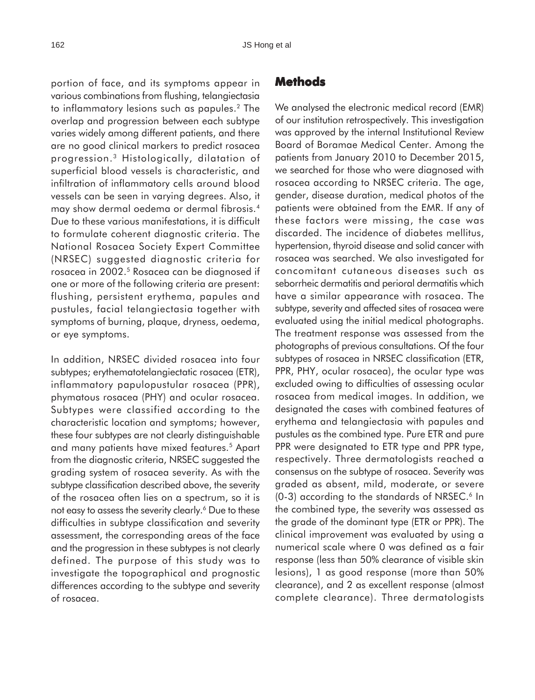portion of face, and its symptoms appear in various combinations from flushing, telangiectasia to inflammatory lesions such as papules.2 The overlap and progression between each subtype varies widely among different patients, and there are no good clinical markers to predict rosacea progression.3 Histologically, dilatation of superficial blood vessels is characteristic, and infiltration of inflammatory cells around blood vessels can be seen in varying degrees. Also, it may show dermal oedema or dermal fibrosis.4 Due to these various manifestations, it is difficult to formulate coherent diagnostic criteria. The National Rosacea Society Expert Committee (NRSEC) suggested diagnostic criteria for rosacea in 2002.5 Rosacea can be diagnosed if one or more of the following criteria are present: flushing, persistent erythema, papules and pustules, facial telangiectasia together with symptoms of burning, plaque, dryness, oedema, or eye symptoms.

In addition, NRSEC divided rosacea into four subtypes; erythematotelangiectatic rosacea (ETR), inflammatory papulopustular rosacea (PPR), phymatous rosacea (PHY) and ocular rosacea. Subtypes were classified according to the characteristic location and symptoms; however, these four subtypes are not clearly distinguishable and many patients have mixed features.5 Apart from the diagnostic criteria, NRSEC suggested the grading system of rosacea severity. As with the subtype classification described above, the severity of the rosacea often lies on a spectrum, so it is not easy to assess the severity clearly.<sup>6</sup> Due to these difficulties in subtype classification and severity assessment, the corresponding areas of the face and the progression in these subtypes is not clearly defined. The purpose of this study was to investigate the topographical and prognostic differences according to the subtype and severity of rosacea.

### **Methods**

We analysed the electronic medical record (EMR) of our institution retrospectively. This investigation was approved by the internal Institutional Review Board of Boramae Medical Center. Among the patients from January 2010 to December 2015, we searched for those who were diagnosed with rosacea according to NRSEC criteria. The age, gender, disease duration, medical photos of the patients were obtained from the EMR. If any of these factors were missing, the case was discarded. The incidence of diabetes mellitus, hypertension, thyroid disease and solid cancer with rosacea was searched. We also investigated for concomitant cutaneous diseases such as seborrheic dermatitis and perioral dermatitis which have a similar appearance with rosacea. The subtype, severity and affected sites of rosacea were evaluated using the initial medical photographs. The treatment response was assessed from the photographs of previous consultations. Of the four subtypes of rosacea in NRSEC classification (ETR, PPR, PHY, ocular rosacea), the ocular type was excluded owing to difficulties of assessing ocular rosacea from medical images. In addition, we designated the cases with combined features of erythema and telangiectasia with papules and pustules as the combined type. Pure ETR and pure PPR were designated to ETR type and PPR type, respectively. Three dermatologists reached a consensus on the subtype of rosacea. Severity was graded as absent, mild, moderate, or severe  $(0-3)$  according to the standards of NRSEC.<sup>6</sup> In the combined type, the severity was assessed as the grade of the dominant type (ETR or PPR). The clinical improvement was evaluated by using a numerical scale where 0 was defined as a fair response (less than 50% clearance of visible skin lesions), 1 as good response (more than 50% clearance), and 2 as excellent response (almost complete clearance). Three dermatologists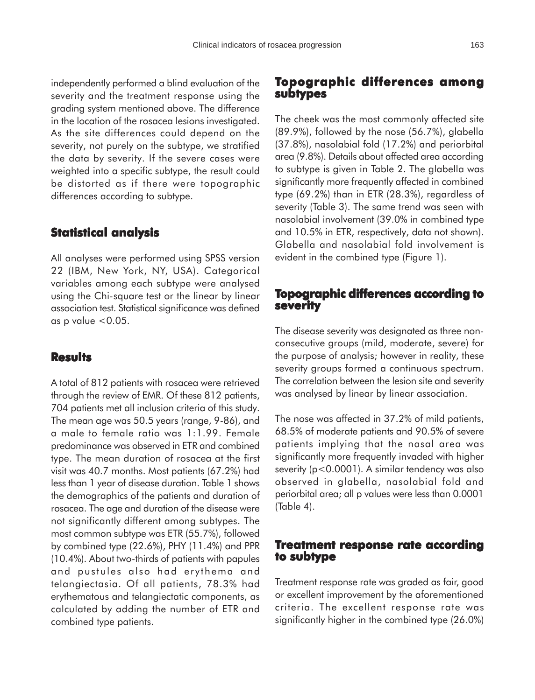independently performed a blind evaluation of the severity and the treatment response using the grading system mentioned above. The difference in the location of the rosacea lesions investigated. As the site differences could depend on the severity, not purely on the subtype, we stratified the data by severity. If the severe cases were weighted into a specific subtype, the result could be distorted as if there were topographic differences according to subtype.

# **Statistical analysis**

All analyses were performed using SPSS version 22 (IBM, New York, NY, USA). Categorical variables among each subtype were analysed using the Chi-square test or the linear by linear association test. Statistical significance was defined as p value  $< 0.05$ .

#### **Results**

A total of 812 patients with rosacea were retrieved through the review of EMR. Of these 812 patients, 704 patients met all inclusion criteria of this study. The mean age was 50.5 years (range, 9-86), and a male to female ratio was 1:1.99. Female predominance was observed in ETR and combined type. The mean duration of rosacea at the first visit was 40.7 months. Most patients (67.2%) had less than 1 year of disease duration. Table 1 shows the demographics of the patients and duration of rosacea. The age and duration of the disease were not significantly different among subtypes. The most common subtype was ETR (55.7%), followed by combined type (22.6%), PHY (11.4%) and PPR (10.4%). About two-thirds of patients with papules and pustules also had erythema and telangiectasia. Of all patients, 78.3% had erythematous and telangiectatic components, as calculated by adding the number of ETR and combined type patients.

# **Topographic differences among subtypes**

The cheek was the most commonly affected site (89.9%), followed by the nose (56.7%), glabella (37.8%), nasolabial fold (17.2%) and periorbital area (9.8%). Details about affected area according to subtype is given in Table 2. The glabella was significantly more frequently affected in combined type (69.2%) than in ETR (28.3%), regardless of severity (Table 3). The same trend was seen with nasolabial involvement (39.0% in combined type and 10.5% in ETR, respectively, data not shown). Glabella and nasolabial fold involvement is evident in the combined type (Figure 1).

## **Topographic differences according to severity**

The disease severity was designated as three nonconsecutive groups (mild, moderate, severe) for the purpose of analysis; however in reality, these severity groups formed a continuous spectrum. The correlation between the lesion site and severity was analysed by linear by linear association.

The nose was affected in 37.2% of mild patients, 68.5% of moderate patients and 90.5% of severe patients implying that the nasal area was significantly more frequently invaded with higher severity (p<0.0001). A similar tendency was also observed in glabella, nasolabial fold and periorbital area; all p values were less than 0.0001 (Table 4).

# **Treatment response rate according to subtype**

Treatment response rate was graded as fair, good or excellent improvement by the aforementioned criteria. The excellent response rate was significantly higher in the combined type (26.0%)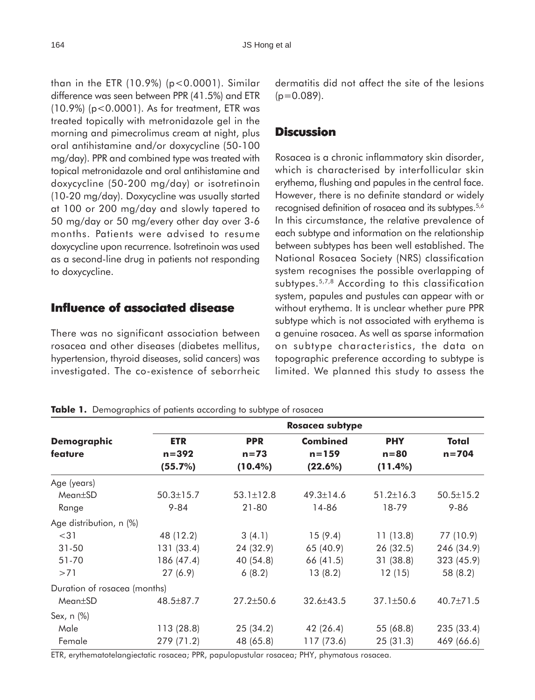than in the ETR (10.9%) (p<0.0001). Similar difference was seen between PPR (41.5%) and ETR (10.9%) (p<0.0001). As for treatment, ETR was treated topically with metronidazole gel in the morning and pimecrolimus cream at night, plus oral antihistamine and/or doxycycline (50-100 mg/day). PPR and combined type was treated with topical metronidazole and oral antihistamine and doxycycline (50-200 mg/day) or isotretinoin (10-20 mg/day). Doxycycline was usually started at 100 or 200 mg/day and slowly tapered to 50 mg/day or 50 mg/every other day over 3-6 months. Patients were advised to resume doxycycline upon recurrence. Isotretinoin was used as a second-line drug in patients not responding to doxycycline.

# **Influence of associated disease**

There was no significant association between rosacea and other diseases (diabetes mellitus, hypertension, thyroid diseases, solid cancers) was investigated. The co-existence of seborrheic dermatitis did not affect the site of the lesions  $(p=0.089)$ .

# **Discussion**

Rosacea is a chronic inflammatory skin disorder, which is characterised by interfollicular skin erythema, flushing and papules in the central face. However, there is no definite standard or widely recognised definition of rosacea and its subtypes.<sup>5,6</sup> In this circumstance, the relative prevalence of each subtype and information on the relationship between subtypes has been well established. The National Rosacea Society (NRS) classification system recognises the possible overlapping of subtypes.5,7,8 According to this classification system, papules and pustules can appear with or without erythema. It is unclear whether pure PPR subtype which is not associated with erythema is a genuine rosacea. As well as sparse information on subtype characteristics, the data on topographic preference according to subtype is limited. We planned this study to assess the

|                              | <b>Rosacea subtype</b> |                 |                 |                 |                 |  |  |  |
|------------------------------|------------------------|-----------------|-----------------|-----------------|-----------------|--|--|--|
| <b>Demographic</b>           | <b>ETR</b>             | <b>PPR</b>      | <b>Combined</b> | <b>PHY</b>      | Total           |  |  |  |
| feature                      | $n = 392$              | $n = 73$        | $n = 159$       | $n = 80$        | $n = 704$       |  |  |  |
|                              | (55.7%)                | $(10.4\%)$      | (22.6%)         | (11.4%)         |                 |  |  |  |
| Age (years)                  |                        |                 |                 |                 |                 |  |  |  |
| Mean±SD                      | $50.3 \pm 15.7$        | $53.1 \pm 12.8$ | $49.3 \pm 14.6$ | $51.2 \pm 16.3$ | $50.5 \pm 15.2$ |  |  |  |
| Range                        | $9 - 84$               | $21 - 80$       | 14-86           | 18-79           | $9 - 86$        |  |  |  |
| Age distribution, n (%)      |                        |                 |                 |                 |                 |  |  |  |
| $<$ 31                       | 48 (12.2)              | 3(4.1)          | 15(9.4)         | 11(13.8)        | 77 (10.9)       |  |  |  |
| $31 - 50$                    | 131 (33.4)             | 24 (32.9)       | 65 (40.9)       | 26 (32.5)       | 246 (34.9)      |  |  |  |
| 51-70                        | 186 (47.4)             | 40 (54.8)       | 66 (41.5)       | 31(38.8)        | 323 (45.9)      |  |  |  |
| >71                          | 27(6.9)                | 6(8.2)          | 13(8.2)         | 12(15)          | 58 (8.2)        |  |  |  |
| Duration of rosacea (months) |                        |                 |                 |                 |                 |  |  |  |
| $Mean \pm SD$                | 48.5±87.7              | $27.2 \pm 50.6$ | $32.6 \pm 43.5$ | $37.1 \pm 50.6$ | $40.7 \pm 71.5$ |  |  |  |
| Sex, n (%)                   |                        |                 |                 |                 |                 |  |  |  |
| Male                         | 113 (28.8)             | 25(34.2)        | 42(26.4)        | 55 (68.8)       | 235 (33.4)      |  |  |  |
| Female                       | 279 (71.2)             | 48 (65.8)       | 117 (73.6)      | 25(31.3)        | 469 (66.6)      |  |  |  |

ETR, erythematotelangiectatic rosacea; PPR, papulopustular rosacea; PHY, phymatous rosacea.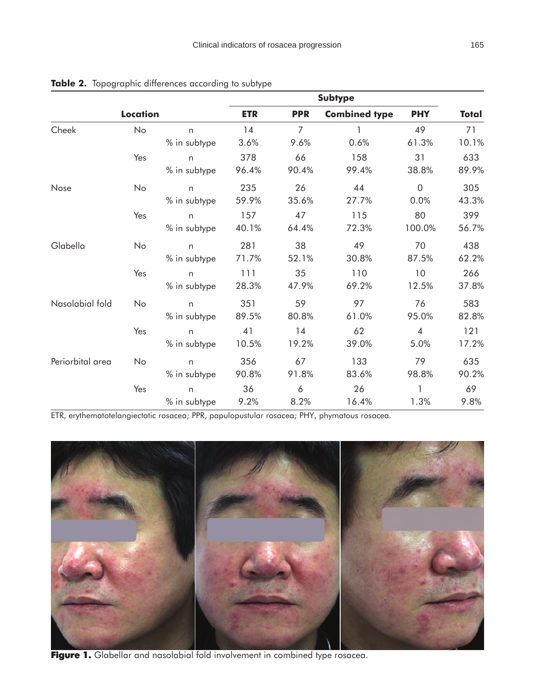|                  | <b>Subtype</b>  |              |            |                |                      |                |              |
|------------------|-----------------|--------------|------------|----------------|----------------------|----------------|--------------|
|                  | <b>Location</b> |              | <b>ETR</b> | <b>PPR</b>     | <b>Combined type</b> | <b>PHY</b>     | <b>Total</b> |
| Cheek            | No              | n            | 14         | $\overline{7}$ |                      | 49             | 71           |
|                  |                 | % in subtype | 3.6%       | 9.6%           | 0.6%                 | 61.3%          | 10.1%        |
|                  | Yes             | n            | 378        | 66             | 158                  | 31             | 633          |
|                  |                 | % in subtype | 96.4%      | 90.4%          | 99.4%                | 38.8%          | 89.9%        |
| Nose             | No              | $\mathsf{n}$ | 235        | 26             | 44                   | $\overline{0}$ | 305          |
|                  |                 | % in subtype | 59.9%      | 35.6%          | 27.7%                | 0.0%           | 43.3%        |
|                  | Yes             | n            | 157        | 47             | 115                  | 80             | 399          |
|                  |                 | % in subtype | 40.1%      | 64.4%          | 72.3%                | 100.0%         | 56.7%        |
| Glabella         | No              | n            | 281        | 38             | 49                   | 70             | 438          |
|                  |                 | % in subtype | 71.7%      | 52.1%          | 30.8%                | 87.5%          | 62.2%        |
|                  | Yes             | n            | 111        | 35             | 110                  | 10             | 266          |
|                  |                 | % in subtype | 28.3%      | 47.9%          | 69.2%                | 12.5%          | 37.8%        |
| Nasolabial fold  | No              | n            | 351        | 59             | 97                   | 76             | 583          |
|                  |                 | % in subtype | 89.5%      | 80.8%          | 61.0%                | 95.0%          | 82.8%        |
|                  | Yes             | n            | 41         | 14             | 62                   | $\overline{4}$ | 121          |
|                  |                 | % in subtype | 10.5%      | 19.2%          | 39.0%                | 5.0%           | 17.2%        |
| Periorbital area | No              | n            | 356        | 67             | 133                  | 79             | 635          |
|                  |                 | % in subtype | 90.8%      | 91.8%          | 83.6%                | 98.8%          | 90.2%        |
|                  | Yes             | n            | 36         | 6              | 26                   | 1              | 69           |
|                  |                 | % in subtype | 9.2%       | 8.2%           | 16.4%                | 1.3%           | 9.8%         |

Table 2. Topographic differences according to subtype

ETR, erythematotelangiectatic rosacea; PPR, papulopustular rosacea; PHY, phymatous rosacea.



Figure 1. Glabellar and nasolabial fold involvement in combined type rosacea.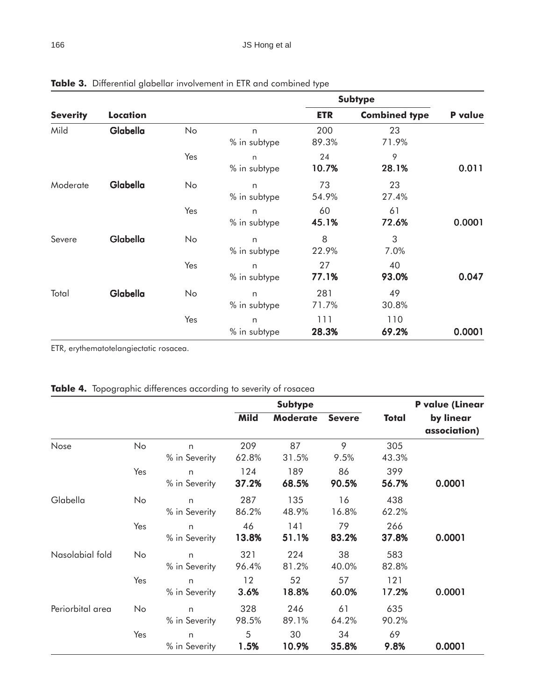|                 |                 |     |                              | <b>Subtype</b> |                      |         |  |
|-----------------|-----------------|-----|------------------------------|----------------|----------------------|---------|--|
| <b>Severity</b> | <b>Location</b> |     |                              | <b>ETR</b>     | <b>Combined type</b> | P value |  |
| Mild            | Glabella        | No  | n<br>% in subtype            | 200<br>89.3%   | 23<br>71.9%          |         |  |
|                 |                 | Yes | n<br>% in subtype            | 24<br>10.7%    | 9<br>28.1%           | 0.011   |  |
| Moderate        | Glabella        | No  | n<br>% in subtype            | 73<br>54.9%    | 23<br>27.4%          |         |  |
|                 |                 | Yes | n<br>% in subtype            | 60<br>45.1%    | 61<br>72.6%          | 0.0001  |  |
| Severe          | Glabella        | No  | n<br>% in subtype            | 8<br>22.9%     | 3<br>7.0%            |         |  |
|                 |                 | Yes | n<br>% in subtype            | 27<br>77.1%    | 40<br>93.0%          | 0.047   |  |
| Total           | Glabella        | No  | $\mathsf{n}$<br>% in subtype | 281<br>71.7%   | 49<br>30.8%          |         |  |
|                 |                 | Yes | n<br>% in subtype            | 111<br>28.3%   | 110<br>69.2%         | 0.0001  |  |

**Table 3.** Differential glabellar involvement in ETR and combined type

ETR, erythematotelangiectatic rosacea.

|  | <b>Table 4.</b> Topographic differences according to severity of rosacea |  |  |  |  |
|--|--------------------------------------------------------------------------|--|--|--|--|
|--|--------------------------------------------------------------------------|--|--|--|--|

|                  |     |                               | <b>Subtype</b>  |                 |               | <b>P</b> value (Linear |                           |
|------------------|-----|-------------------------------|-----------------|-----------------|---------------|------------------------|---------------------------|
|                  |     |                               | <b>Mild</b>     | <b>Moderate</b> | <b>Severe</b> | <b>Total</b>           | by linear<br>association) |
| Nose             | No  | n<br>% in Severity            | 209<br>62.8%    | 87<br>31.5%     | 9<br>9.5%     | 305<br>43.3%           |                           |
|                  | Yes | n<br>% in Severity            | 124<br>37.2%    | 189<br>68.5%    | 86<br>90.5%   | 399<br>56.7%           | 0.0001                    |
| Glabella         | No  | n<br>% in Severity            | 287<br>86.2%    | 135<br>48.9%    | 16<br>16.8%   | 438<br>62.2%           |                           |
|                  | Yes | n<br>% in Severity            | 46<br>13.8%     | 141<br>51.1%    | 79<br>83.2%   | 266<br>37.8%           | 0.0001                    |
| Nasolabial fold  | No  | n<br>% in Severity            | 321<br>96.4%    | 224<br>81.2%    | 38<br>40.0%   | 583<br>82.8%           |                           |
|                  | Yes | n<br>% in Severity            | $12 \,$<br>3.6% | 52<br>18.8%     | 57<br>60.0%   | 121<br>17.2%           | 0.0001                    |
| Periorbital area | No  | n<br>% in Severity            | 328<br>98.5%    | 246<br>89.1%    | 61<br>64.2%   | 635<br>90.2%           |                           |
|                  | Yes | $\mathsf{n}$<br>% in Severity | 5<br>1.5%       | 30<br>10.9%     | 34<br>35.8%   | 69<br>9.8%             | 0.0001                    |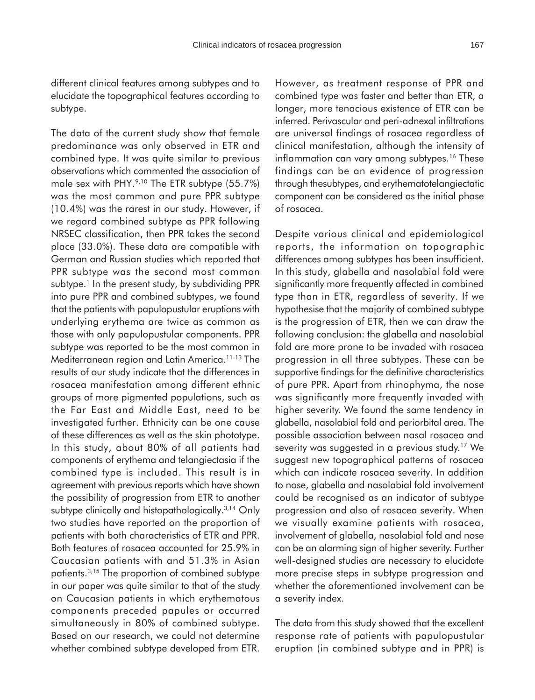different clinical features among subtypes and to elucidate the topographical features according to subtype.

The data of the current study show that female predominance was only observed in ETR and combined type. It was quite similar to previous observations which commented the association of male sex with PHY. $9,10$  The ETR subtype (55.7%) was the most common and pure PPR subtype (10.4%) was the rarest in our study. However, if we regard combined subtype as PPR following NRSEC classification, then PPR takes the second place (33.0%). These data are compatible with German and Russian studies which reported that PPR subtype was the second most common subtype.<sup>1</sup> In the present study, by subdividing PPR into pure PPR and combined subtypes, we found that the patients with papulopustular eruptions with underlying erythema are twice as common as those with only papulopustular components. PPR subtype was reported to be the most common in Mediterranean region and Latin America.11-13 The results of our study indicate that the differences in rosacea manifestation among different ethnic groups of more pigmented populations, such as the Far East and Middle East, need to be investigated further. Ethnicity can be one cause of these differences as well as the skin phototype. In this study, about 80% of all patients had components of erythema and telangiectasia if the combined type is included. This result is in agreement with previous reports which have shown the possibility of progression from ETR to another subtype clinically and histopathologically.<sup>3,14</sup> Only two studies have reported on the proportion of patients with both characteristics of ETR and PPR. Both features of rosacea accounted for 25.9% in Caucasian patients with and 51.3% in Asian patients.3,15 The proportion of combined subtype in our paper was quite similar to that of the study on Caucasian patients in which erythematous components preceded papules or occurred simultaneously in 80% of combined subtype. Based on our research, we could not determine whether combined subtype developed from ETR.

However, as treatment response of PPR and combined type was faster and better than ETR, a longer, more tenacious existence of ETR can be inferred. Perivascular and peri-adnexal infiltrations are universal findings of rosacea regardless of clinical manifestation, although the intensity of inflammation can vary among subtypes.<sup>16</sup> These findings can be an evidence of progression through thesubtypes, and erythematotelangiectatic component can be considered as the initial phase of rosacea.

Despite various clinical and epidemiological reports, the information on topographic differences among subtypes has been insufficient. In this study, glabella and nasolabial fold were significantly more frequently affected in combined type than in ETR, regardless of severity. If we hypothesise that the majority of combined subtype is the progression of ETR, then we can draw the following conclusion: the glabella and nasolabial fold are more prone to be invaded with rosacea progression in all three subtypes. These can be supportive findings for the definitive characteristics of pure PPR. Apart from rhinophyma, the nose was significantly more frequently invaded with higher severity. We found the same tendency in glabella, nasolabial fold and periorbital area. The possible association between nasal rosacea and severity was suggested in a previous study.<sup>17</sup> We suggest new topographical patterns of rosacea which can indicate rosacea severity. In addition to nose, glabella and nasolabial fold involvement could be recognised as an indicator of subtype progression and also of rosacea severity. When we visually examine patients with rosacea, involvement of glabella, nasolabial fold and nose can be an alarming sign of higher severity. Further well-designed studies are necessary to elucidate more precise steps in subtype progression and whether the aforementioned involvement can be a severity index.

The data from this study showed that the excellent response rate of patients with papulopustular eruption (in combined subtype and in PPR) is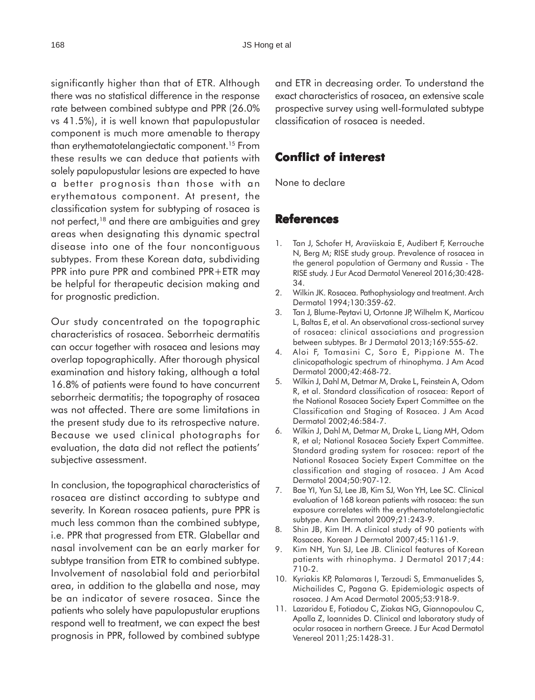significantly higher than that of ETR. Although there was no statistical difference in the response rate between combined subtype and PPR (26.0% vs 41.5%), it is well known that papulopustular component is much more amenable to therapy than erythematotelangiectatic component.15 From these results we can deduce that patients with solely papulopustular lesions are expected to have a better prognosis than those with an erythematous component. At present, the classification system for subtyping of rosacea is not perfect,<sup>18</sup> and there are ambiguities and grey areas when designating this dynamic spectral disease into one of the four noncontiguous subtypes. From these Korean data, subdividing PPR into pure PPR and combined PPR+ETR may be helpful for therapeutic decision making and for prognostic prediction.

Our study concentrated on the topographic characteristics of rosacea. Seborrheic dermatitis can occur together with rosacea and lesions may overlap topographically. After thorough physical examination and history taking, although a total 16.8% of patients were found to have concurrent seborrheic dermatitis; the topography of rosacea was not affected. There are some limitations in the present study due to its retrospective nature. Because we used clinical photographs for evaluation, the data did not reflect the patients' subjective assessment.

In conclusion, the topographical characteristics of rosacea are distinct according to subtype and severity. In Korean rosacea patients, pure PPR is much less common than the combined subtype, i.e. PPR that progressed from ETR. Glabellar and nasal involvement can be an early marker for subtype transition from ETR to combined subtype. Involvement of nasolabial fold and periorbital area, in addition to the glabella and nose, may be an indicator of severe rosacea. Since the patients who solely have papulopustular eruptions respond well to treatment, we can expect the best prognosis in PPR, followed by combined subtype

and ETR in decreasing order. To understand the exact characteristics of rosacea, an extensive scale prospective survey using well-formulated subtype classification of rosacea is needed.

## **Conflict of interest interest**

None to declare

#### **References**

- 1. Tan J, Schofer H, Araviiskaia E, Audibert F, Kerrouche N, Berg M; RISE study group. Prevalence of rosacea in the general population of Germany and Russia - The RISE study. J Eur Acad Dermatol Venereol 2016;30:428- 34.
- 2. Wilkin JK. Rosacea. Pathophysiology and treatment. Arch Dermatol 1994;130:359-62.
- 3. Tan J, Blume-Peytavi U, Ortonne JP, Wilhelm K, Marticou L, Baltas E, et al. An observational cross-sectional survey of rosacea: clinical associations and progression between subtypes. Br J Dermatol 2013;169:555-62.
- 4. Aloi F, Tomasini C, Soro E, Pippione M. The clinicopathologic spectrum of rhinophyma. J Am Acad Dermatol 2000;42:468-72.
- 5. Wilkin J, Dahl M, Detmar M, Drake L, Feinstein A, Odom R, et al. Standard classification of rosacea: Report of the National Rosacea Society Expert Committee on the Classification and Staging of Rosacea. J Am Acad Dermatol 2002;46:584-7.
- 6. Wilkin J, Dahl M, Detmar M, Drake L, Liang MH, Odom R, et al; National Rosacea Society Expert Committee. Standard grading system for rosacea: report of the National Rosacea Society Expert Committee on the classification and staging of rosacea. J Am Acad Dermatol 2004;50:907-12.
- 7. Bae YI, Yun SJ, Lee JB, Kim SJ, Won YH, Lee SC. Clinical evaluation of 168 korean patients with rosacea: the sun exposure correlates with the erythematotelangiectatic subtype. Ann Dermatol 2009;21:243-9.
- 8. Shin JB, Kim IH. A clinical study of 90 patients with Rosacea. Korean J Dermatol 2007;45:1161-9.
- 9. Kim NH, Yun SJ, Lee JB. Clinical features of Korean patients with rhinophyma. J Dermatol 2017;44: 710-2.
- 10. Kyriakis KP, Palamaras I, Terzoudi S, Emmanuelides S, Michailides C, Pagana G. Epidemiologic aspects of rosacea. J Am Acad Dermatol 2005;53:918-9.
- 11. Lazaridou E, Fotiadou C, Ziakas NG, Giannopoulou C, Apalla Z, Ioannides D. Clinical and laboratory study of ocular rosacea in northern Greece. J Eur Acad Dermatol Venereol 2011;25:1428-31.